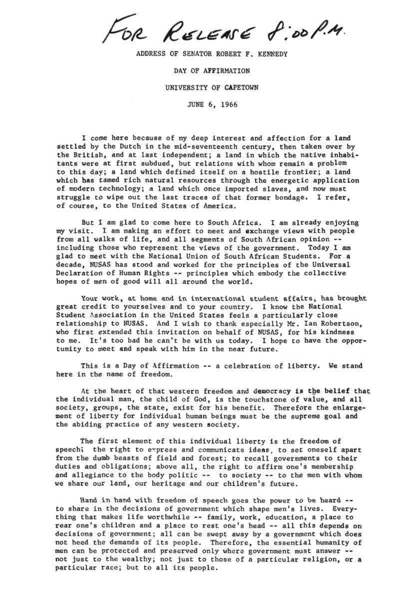DR RELEASE P:00 P.M.

ADDRESS OF SENATOR ROBERT F. KENNEDY

## DAY OF AFFIRMATION

## UNIVERSITY OF CAPETOWN

JUNE 6, 1966

I come here because of my deep interest and affection for a land settled by the Dutch in the mid-seventeenth century, then taken over by the British, and at last independent; a land in which the native inhabitants were at first subdued, but relations with whom remain a problem to this day; a land which defined itself on a hostile frontier; a land which has tamed rich natural resources through the energetic application of modern technology; a land which once imported slaves, and now must struggle to wipe out the last traces of that former bondage. I refer, of course, to the United States of America.

But 1 am glad to come here to South Africa. I am already enjoying my visit. I am making an effort to meet and exchange views with people from all walks of life, and all segments of South African opinion - including those who represent the views of the government. Today I am glad to meet with the National Union of South African Students. For a decade, NUSAS has stood and worked for the principles of the Universal Declaration of Human Rights -- principles which embody the collective hopes of men of good will all around the world.

Your work, at home and in international student affairs, has brought great credit to yourselves and to your country. I know the National Student Association in the United States feels a particularly close relationship to NUSAS. And I wish to thank especially Mr. Ian Robertson, who first extended this invitation on behalf of NUSAS, for his kindness to me. It's too bad he can't be with us today. I hope to have the opportunity to meet and speak with him in the near future.

This is a Day of Affirmation -- a celebration of liberty. We stand here in the name of freedom.

At the heart of that western freedom and democracy is the belief that the individual man, the child of God, is the touchstone of value, and all society, groups, the state, exist for his benefit. Therefore the enlargement of liberty for individual human beings must be the supreme goal and the abiding practice of any western society.

The first element of this individual liberty is the freedom of speechi the right to express and communicate ideas, to set oneself apart from the dumb beasts of field and forest; to recall governments to their duties and obligations; above all, the right to affirm one's membership and allegiance to the body politic -- to society — to the men with whom we share our land, our heritage and our children's future.

Hand in hand with freedom of speech goes the power to be heard - to share in the decisions of government which shape men's lives. Everything that makes life worthwhile -- family, work, education, a place to rear one's children and a place to rest one's head — all this depends on decisions of government; all can be swept away by a government which does not heed the demands of its people. Therefore, the essential humanity of men can be protected and preserved only where government must answer - not just to the wealthy; not just to those of a particular religion, or a particular race; but to all its people.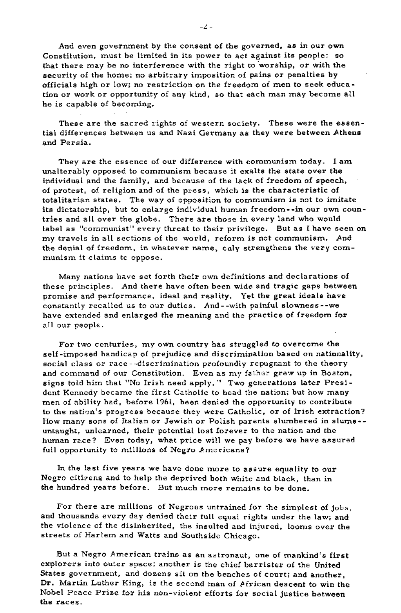- 2 -

In the last five years we have done more to assure equality to our Negro citizens, and to help the deprived both white and black, than in the hundred years before. But much more remains to be done.

And even government by the consent of the governed, as in our own Constitution, must be limited in its power to act against its people: so that there may be no interference with the right to worship, or with the security of the home; no arbitrary imposition of pains or penalties by officials high or low; no restriction on the freedorn of men to seek education or work or opportunity of any kind, so that each man may become all he is capable of becoming.

These are the sacred rights of western society. These were the essential differences between us and Nazi Germany as they were between Athens and Persia .

They are the essence of our difference with communism today. I am unalterably opposed to communism because it exalts the state over the individual and the family, and because of the lack of freedom of speech, of protest, of religion and of the press, which is the characteristic of totalitarian states. The way of opposition to communism is not to imitate its dictatorship, but to enlarge individual human freedom--in our own countries and all over the globe. There are those in every land who would label as "communist" every threat to their privilege. But as I have seen on my travels in all sections of the world, reform is not communism. And the denial of freedom, in whatever name, caly strengthens the very communism it claims tc oppose.

For there are millions of Negroes untrained for the simplest of jobs, and thousands every day denied their full equal rights under the law; and the violence of the disinherited, the insulted and injured, looms over the streets of Harlem and Watts and Southside Chicago.

Many nations have set forth their own definitions and declarations of these principles. And there have often been wide and tragic gaps between promise and performance, ideal and reality. Yet the great ideals have constantly recalled us to our duties. And--with painful slowness--we have extended and enlarged the meaning and the practice of freedom for all our people.

For two centuries, my own country has struggled to overcome the self-imposed handicap of prejudice and discrimination based on nationality, social class or race--discrimination profoundly repugnant to the theory and command of our Constitution. Even as my father grew up in Boston, signs told him that "No Irish need apply. " Two generations later President Kennedy became the first Catholic to head the nation; but how many men of ability had, before 1961, been denied the opportunity to contribute to the nation's progress because they were Catholic, or of Irish extraction? How many sons of Italian or Jewish or Polish parents slumbered in slums untaught, unlearned, their potential lost forever to the nation and the human race? Even today, what price will we pay before we have assured full opportunity to millions of Negro Americans?

But a Negro American trains as an astronaut, one of mankind's first explorers into outer space; another is the chief barrister of the United States government, and dozens sit on the benches of court; and another, Dr. Martin Luther King, is the second man of African descent to win the Nobel Peace Prize for his non-violent efforts for social justice between the races.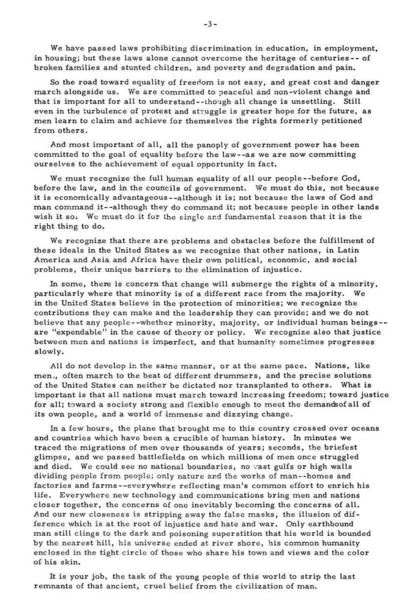We have passed laws prohibiting discrimination in education, in employment, in housing; but these laws alone cannot overcome the heritage of centuries-- of broken families and stunted children, and poverty and degradation and pain.

So the road toward equality of freedom is not easy, and great cost and danger march alongside us. We are committed to peaceful and non-violent change and that is important for all to understand—though all change is unsettling. **Still**  even in the turbulence of protest and struggle is greater hope for the future, as men learn to claim and achieve for themselves the rights formerly petitioned from others.

And most important of all, all the panoply of government power has been committed to the goal of equality before the law--as we are now committing ourselves to the achievement of equal opportunity in fact.

We recognize that there are problems and obstacles before the fulfillment of these ideals in the United States as we recognize that other nations, in Latin America and Asia and Africa have their own political, economic, and social problems, their unique barriers to the elimination of injustice.

We must recognize the full human equality of all our people--before God, before the law, and in the councils of government. We must do this, not because it is economically advantageous--although it is; not because the laws of God and man command it--although they do command it; not because people in other lands wish it so. We must do it for the single and fundamental reason that it is the right thing to do.

In some, there is concern that change will submerge the rights of a minority, particularly where that minority is of a different race from the majority. We in the United States believe in the protection of minorities; we recognize the contributions they can make and the leadership they can provide; and we do not believe that any people--whether minority, majority, or individual human beings-are "expendable" in the cause of theory or policy. We recognize also that justice between men and nations is imperfect, and that humanity sometimes progresses slowly.

All do not develop in the same manner, or at the same pace. Nations, like men., often march to the beat of different drummers, and the precise solutions of the United States can neither be dictated nor transplanted to others. What is important is that all nations must march toward increasing freedom; toward justice for all; toward a society strong and flexible enough to meet the demandsof all of its own people, and a world of immense and dizzying change.

In a few hours, the plane that brought me to this country crossed over oceans and countries which have been a crucible of human history. In minutes we traced the migrations of men over thousands of years; seconds, the briefest glimpse, and we passed battlefields on which millions of men once struggled and died. We could see no national boundaries, no vast gulfs or high walls dividing people from people; only nature and the works of man—homes and factories and farms--everywhere reflecting man's common effort to enrich his life. Everywhere new technology and communications bring men and nations closer together, the concerns of one inevitably becoming the concerns of all. And our new closeness is stripping away the false masks, the illusion of difference which is at the root of injustice and hate and war. Only earthbound man still clings to the dark and poisoning superstition that his world is bounded by the nearest hill, his universe ended at river shore, his common humanity enclosed in the tight circle of those who share his town and views and the color of his skin.

It is your job, the task of the young people of this world to strip the last remnants of that ancient, cruel belief from the civilization of man.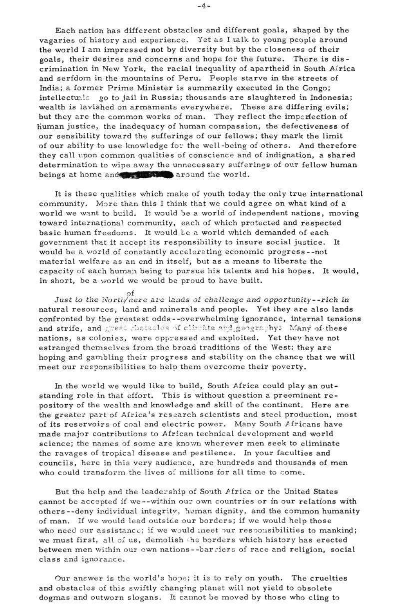Each nation has different obstacles and different goals, shaped by the vagaries of history and experience. Yet as I talk to young people around the world I am impressed not by diversity but by the closeness of their goals, their desires and concerns and hope for the future. There is discrimination in New York, the racial inequality of apartheid in South Africa and serfdom in the mountains of Peru. People starve in the streets of India; a former Prime Minister is summarily executed in the Congo; intellectuals go to jail in Russia; thousands are slaughtered in Indonesia; wealth is lavished on armaments everywhere. These are differing evils; but they are the common works of man. They reflect the imperfection of Human justice, the inadequacy of human compassion, the defectiveness of our sensibility toward the sufferings of our fellows; they mark the limit of our ability to use knowledge for the well-being of others. And therefore they call upon common qualities of conscience and of indignation, a shared determination to wipe away the unnecessary sufferings of our fellow human beings at home and  $\blacksquare$  around the world.

It is these qualities which make of youth today the only true international community. More than this I think that we could agree on what kind of a world we want to build. It would be a world of independent nations, moving toward international community, each of which protected and respected basic human freedoms. It would Le a world which demanded of each government that it accept its responsibility to insure social justice. It would be a world of constantly accelerating economic progress--not material welfare as an end in itself, but as a means to liberate the capacity of each human being to pursue his talents and his hopes. It would, in short, be a world we would be proud to have built.

of

Just to the North/nere are lands of challenge and opportunity--rich in natural resources, land and minerals and people. Yet they are also lands confronted by the greatest odds--overwhelming ignorance, internal tensions and strife, and great sbetaclos of climate and geography: Many of these nations, as colonies, were oppressed and exploited. Yet thev have not estranged themselves from the broad traditions of the West; they are hoping and gambling their progress and stability on the chance that we will meet our responsibilities to help them overcome their poverty.

In the world we would like to build, South Africa could play an outstanding role in that effort. This is without question a preeminent re pository of the wealth and knowledge and skill of the continent. Here are the greater part of Africa's research scientists and steel production, most of its reservoirs of coal and electric power. Many South Africans have made major contributions to African technical development and world science; the names of some are known wherever men seek to eliminate

the ravages of tropical disease and pestilence. In your faculties and councils, here in this very audience, are hundreds and thousands of men who could transform the lives of millions for all time to come.

Our answer is the world's hope; it is to rely on youth. The cruelties and obstacles of this swiftly changing planet will not yield to obsolete dogmas and outworn slogans. It cannot be moved by those who cling to

But the help and the leadership of South Africa or the United States cannot be accepted if we--within our own countries or in our relations with others--deny individual integrity, human dignity, and the common humanity of man. If we would lead outsice our borders; if we would help those who need our assistance; if we would meet pur responsibilities to mankind; we must first, all oi us, demolish the borders which history has erected between men within our own nations--barriers of race and religion, social class and ignorance.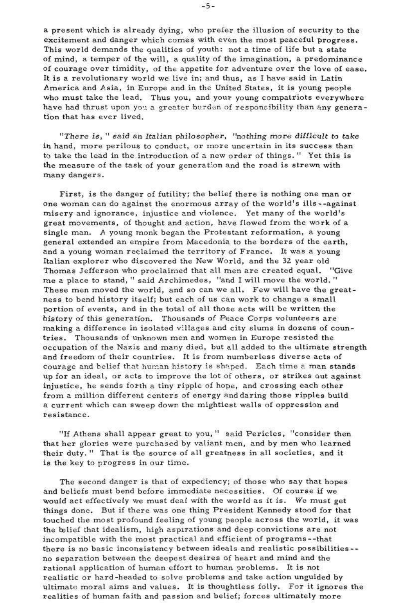a present which is already dying, who prefer the illusion of security to the excitement and danger which comes with even the most peaceful progress. This world demands the qualities of youth: not a time of life but a state of mind, a temper of the will, a quality of the imagination, a predominance of courage over timidity, of the appetite for adventure over the love of ease. It is a revolutionary world we live in; and thus, as I have said in Latin America and Asia, in Europe and in the United States, it is young people who must take the lead. Thus you, and your young compatriots everywhere have had thrust upon you a greater burden of responsibility than any generation that has ever lived.

"There is, " said an Italian philosopher, "nothing more difficult to take in hand, more perilous to conduct, or more uncertain in its success than to take the lead in the introduction of a new order of things." Yet this is the measure of the task of your generation and the road is strewn with many dangers.

The second danger is that of expediency; of those who say that hopes and beliefs must bend before immediate necessities. Of course if we would act effectively we must deal with the world as it is. We must get things done. But if there was one thing President Kennedy stood for that touched the most profound feeling of young people across the world, it was the belief that idealism, high aspirations and deep convictions are not incompatible with the most practical and efficient of programs--that there is no basic inconsistency between ideals and realistic possibilities- no separation between the deepest desires of heart and mind and the rational application of human effort to human problems. It is not realistic or hard-headed to solve problems and take action unguided by ultimate moral aims and values. It is thoughtless folly. For it ignores the realities of human faith and passion and belief; forces ultimately more

First, is the danger of futility; the belief there is nothing one man or one woman can do against the enormous array of the world's ills--against misery and ignorance, injustice and violence. Yet many of the world's great movements, of thought and action, have flowed from the work of a single man. A young monk began the Protestant reformation, a young general extended an empire from Macedonia to the borders of the earth, and a young woman reclaimed the territory of France. It was a young Italian explorer who discovered the New World, and the 32 year old Thomas Jefferson who proclaimed that all men are created equal. "Give me a place to stand, " said Archimedes, "and I will move the world. " These men moved the world, and so can we all. Few will have the greatness to bend history itself; but each of us can work to change a small portion of events, and in the total of all those acts will be written the history of this generation. Thousands of Peace Corps volunteers are making a difference in isolated villages and city slums in dozens of countries. Thousands of unknown men and women in Europe resisted the occupation of the Nazis and many died, but all added to the ultimate strength and freedom of their countries. It is from numberless diverse acts of courage and belief that human history is shaped. Each time a man stands up for an ideal, or acts to improve the lot of others, or strikes out against injustice, he sends forth a tiny ripple of hope, and crossing each other from a million different centers of energy and daring those ripples build a current which can sweep down the mightiest walls of oppression and resistance .

"If Athens shall appear great to you, " said Pericles, "consider then that her glories were purchased by valiant men, and by men who learned

their duty. " That is the source of all greatness in all societies, and it is the key to progress in our time.